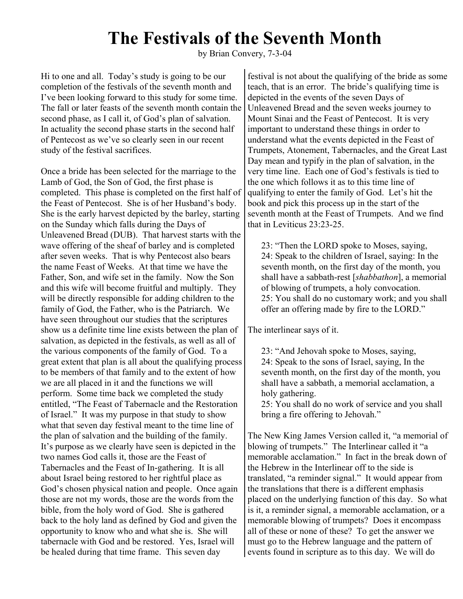## **The Festivals of the Seventh Month**

by Brian Convery, 7-3-04

Hi to one and all. Today's study is going to be our completion of the festivals of the seventh month and I've been looking forward to this study for some time. The fall or later feasts of the seventh month contain the second phase, as I call it, of God's plan of salvation. In actuality the second phase starts in the second half of Pentecost as we've so clearly seen in our recent study of the festival sacrifices.

Once a bride has been selected for the marriage to the Lamb of God, the Son of God, the first phase is completed. This phase is completed on the first half of the Feast of Pentecost. She is of her Husband's body. She is the early harvest depicted by the barley, starting on the Sunday which falls during the Days of Unleavened Bread (DUB). That harvest starts with the wave offering of the sheaf of barley and is completed after seven weeks. That is why Pentecost also bears the name Feast of Weeks. At that time we have the Father, Son, and wife set in the family. Now the Son and this wife will become fruitful and multiply. They will be directly responsible for adding children to the family of God, the Father, who is the Patriarch. We have seen throughout our studies that the scriptures show us a definite time line exists between the plan of salvation, as depicted in the festivals, as well as all of the various components of the family of God. To a great extent that plan is all about the qualifying process to be members of that family and to the extent of how we are all placed in it and the functions we will perform. Some time back we completed the study entitled, "The Feast of Tabernacle and the Restoration of Israel." It was my purpose in that study to show what that seven day festival meant to the time line of the plan of salvation and the building of the family. It's purpose as we clearly have seen is depicted in the two names God calls it, those are the Feast of Tabernacles and the Feast of In-gathering. It is all about Israel being restored to her rightful place as God's chosen physical nation and people. Once again those are not my words, those are the words from the bible, from the holy word of God. She is gathered back to the holy land as defined by God and given the opportunity to know who and what she is. She will tabernacle with God and be restored. Yes, Israel will be healed during that time frame. This seven day

festival is not about the qualifying of the bride as some teach, that is an error. The bride's qualifying time is depicted in the events of the seven Days of Unleavened Bread and the seven weeks journey to Mount Sinai and the Feast of Pentecost. It is very important to understand these things in order to understand what the events depicted in the Feast of Trumpets, Atonement, Tabernacles, and the Great Last Day mean and typify in the plan of salvation, in the very time line. Each one of God's festivals is tied to the one which follows it as to this time line of qualifying to enter the family of God. Let's hit the book and pick this process up in the start of the seventh month at the Feast of Trumpets. And we find that in Leviticus 23:23-25.

23: "Then the LORD spoke to Moses, saying, 24: Speak to the children of Israel, saying: In the seventh month, on the first day of the month, you shall have a sabbath-rest [*shabbathon*], a memorial of blowing of trumpets, a holy convocation. 25: You shall do no customary work; and you shall offer an offering made by fire to the LORD."

The interlinear says of it.

23: "And Jehovah spoke to Moses, saying, 24: Speak to the sons of Israel, saying, In the seventh month, on the first day of the month, you shall have a sabbath, a memorial acclamation, a holy gathering.

25: You shall do no work of service and you shall bring a fire offering to Jehovah."

The New King James Version called it, "a memorial of blowing of trumpets." The Interlinear called it "a memorable acclamation." In fact in the break down of the Hebrew in the Interlinear off to the side is translated, "a reminder signal." It would appear from the translations that there is a different emphasis placed on the underlying function of this day. So what is it, a reminder signal, a memorable acclamation, or a memorable blowing of trumpets? Does it encompass all of these or none of these? To get the answer we must go to the Hebrew language and the pattern of events found in scripture as to this day. We will do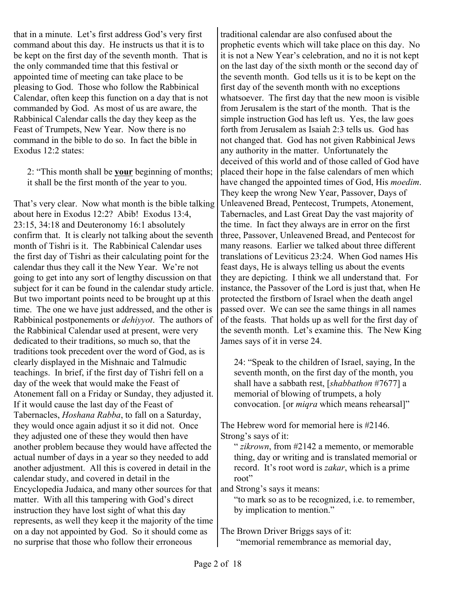that in a minute. Let's first address God's very first command about this day. He instructs us that it is to be kept on the first day of the seventh month. That is the only commanded time that this festival or appointed time of meeting can take place to be pleasing to God. Those who follow the Rabbinical Calendar, often keep this function on a day that is not commanded by God. As most of us are aware, the Rabbinical Calendar calls the day they keep as the Feast of Trumpets, New Year. Now there is no command in the bible to do so. In fact the bible in Exodus 12:2 states:

2: "This month shall be **your** beginning of months; it shall be the first month of the year to you.

That's very clear. Now what month is the bible talking about here in Exodus 12:2? Abib! Exodus 13:4, 23:15, 34:18 and Deuteronomy 16:1 absolutely confirm that. It is clearly not talking about the seventh month of Tishri is it. The Rabbinical Calendar uses the first day of Tishri as their calculating point for the calendar thus they call it the New Year. We're not going to get into any sort of lengthy discussion on that subject for it can be found in the calendar study article. But two important points need to be brought up at this time. The one we have just addressed, and the other is Rabbinical postponements or *dehiyyot*. The authors of the Rabbinical Calendar used at present, were very dedicated to their traditions, so much so, that the traditions took precedent over the word of God, as is clearly displayed in the Mishnaic and Talmudic teachings. In brief, if the first day of Tishri fell on a day of the week that would make the Feast of Atonement fall on a Friday or Sunday, they adjusted it. If it would cause the last day of the Feast of Tabernacles, *Hoshana Rabba*, to fall on a Saturday, they would once again adjust it so it did not. Once they adjusted one of these they would then have another problem because they would have affected the actual number of days in a year so they needed to add another adjustment. All this is covered in detail in the calendar study, and covered in detail in the Encyclopedia Judaica, and many other sources for that matter. With all this tampering with God's direct instruction they have lost sight of what this day represents, as well they keep it the majority of the time on a day not appointed by God. So it should come as no surprise that those who follow their erroneous

traditional calendar are also confused about the prophetic events which will take place on this day. No it is not a New Year's celebration, and no it is not kept on the last day of the sixth month or the second day of the seventh month. God tells us it is to be kept on the first day of the seventh month with no exceptions whatsoever. The first day that the new moon is visible from Jerusalem is the start of the month. That is the simple instruction God has left us. Yes, the law goes forth from Jerusalem as Isaiah 2:3 tells us. God has not changed that. God has not given Rabbinical Jews any authority in the matter. Unfortunately the deceived of this world and of those called of God have placed their hope in the false calendars of men which have changed the appointed times of God, His *moedim*. They keep the wrong New Year, Passover, Days of Unleavened Bread, Pentecost, Trumpets, Atonement, Tabernacles, and Last Great Day the vast majority of the time. In fact they always are in error on the first three, Passover, Unleavened Bread, and Pentecost for many reasons. Earlier we talked about three different translations of Leviticus 23:24. When God names His feast days, He is always telling us about the events they are depicting. I think we all understand that. For instance, the Passover of the Lord is just that, when He protected the firstborn of Israel when the death angel passed over. We can see the same things in all names of the feasts. That holds up as well for the first day of the seventh month. Let's examine this. The New King James says of it in verse 24.

24: "Speak to the children of Israel, saying, In the seventh month, on the first day of the month, you shall have a sabbath rest, [*shabbathon* #7677] a memorial of blowing of trumpets, a holy convocation. [or *miqra* which means rehearsal]"

The Hebrew word for memorial here is #2146. Strong's says of it:

" *zikrown*, from #2142 a memento, or memorable thing, day or writing and is translated memorial or record. It's root word is *zakar*, which is a prime root"

and Strong's says it means:

"to mark so as to be recognized, i.e. to remember, by implication to mention."

The Brown Driver Briggs says of it:

"memorial remembrance as memorial day,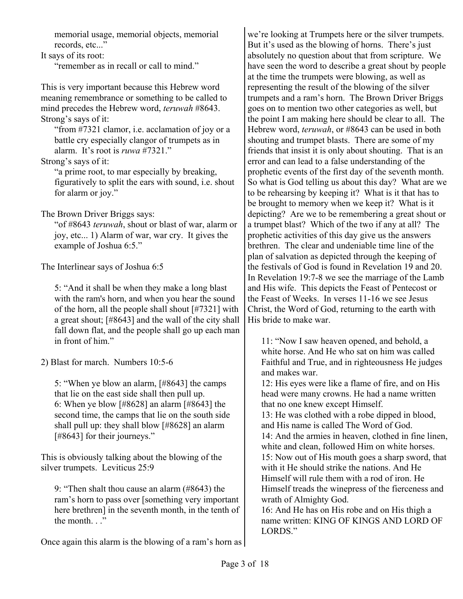memorial usage, memorial objects, memorial records, etc..."

It says of its root:

"remember as in recall or call to mind."

This is very important because this Hebrew word meaning remembrance or something to be called to mind precedes the Hebrew word, *teruwah* #8643. Strong's says of it:

"from #7321 clamor, i.e. acclamation of joy or a battle cry especially clangor of trumpets as in alarm. It's root is *ruwa* #7321."

Strong's says of it:

"a prime root, to mar especially by breaking, figuratively to split the ears with sound, i.e. shout for alarm or joy."

The Brown Driver Briggs says:

"of #8643 *teruwah*, shout or blast of war, alarm or joy, etc... 1) Alarm of war, war cry. It gives the example of Joshua 6:5."

The Interlinear says of Joshua 6:5

5: "And it shall be when they make a long blast with the ram's horn, and when you hear the sound of the horn, all the people shall shout [#7321] with a great shout; [#8643] and the wall of the city shall fall down flat, and the people shall go up each man in front of him."

2) Blast for march. Numbers 10:5-6

5: "When ye blow an alarm, [#8643] the camps that lie on the east side shall then pull up. 6: When ye blow [#8628] an alarm [#8643] the second time, the camps that lie on the south side shall pull up: they shall blow [#8628] an alarm [#8643] for their journeys."

This is obviously talking about the blowing of the silver trumpets. Leviticus 25:9

9: "Then shalt thou cause an alarm (#8643) the ram's horn to pass over [something very important here brethren] in the seventh month, in the tenth of the month..."

Once again this alarm is the blowing of a ram's horn as

we're looking at Trumpets here or the silver trumpets. But it's used as the blowing of horns. There's just absolutely no question about that from scripture. We have seen the word to describe a great shout by people at the time the trumpets were blowing, as well as representing the result of the blowing of the silver trumpets and a ram's horn. The Brown Driver Briggs goes on to mention two other categories as well, but the point I am making here should be clear to all. The Hebrew word, *teruwah*, or #8643 can be used in both shouting and trumpet blasts. There are some of my friends that insist it is only about shouting. That is an error and can lead to a false understanding of the prophetic events of the first day of the seventh month. So what is God telling us about this day? What are we to be rehearsing by keeping it? What is it that has to be brought to memory when we keep it? What is it depicting? Are we to be remembering a great shout or a trumpet blast? Which of the two if any at all? The prophetic activities of this day give us the answers brethren. The clear and undeniable time line of the plan of salvation as depicted through the keeping of the festivals of God is found in Revelation 19 and 20. In Revelation 19:7-8 we see the marriage of the Lamb and His wife. This depicts the Feast of Pentecost or the Feast of Weeks. In verses 11-16 we see Jesus Christ, the Word of God, returning to the earth with His bride to make war.

11: "Now I saw heaven opened, and behold, a white horse. And He who sat on him was called Faithful and True, and in righteousness He judges and makes war.

12: His eyes were like a flame of fire, and on His head were many crowns. He had a name written that no one knew except Himself.

13: He was clothed with a robe dipped in blood, and His name is called The Word of God. 14: And the armies in heaven, clothed in fine linen,

white and clean, followed Him on white horses. 15: Now out of His mouth goes a sharp sword, that with it He should strike the nations. And He Himself will rule them with a rod of iron. He Himself treads the winepress of the fierceness and wrath of Almighty God.

16: And He has on His robe and on His thigh a name written: KING OF KINGS AND LORD OF LORDS<sup>"</sup>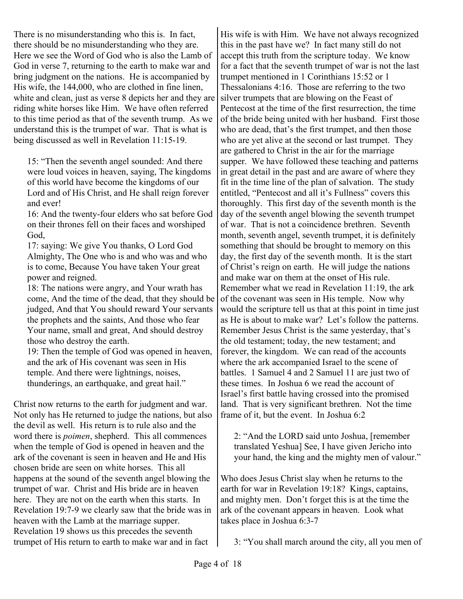There is no misunderstanding who this is. In fact, there should be no misunderstanding who they are. Here we see the Word of God who is also the Lamb of God in verse 7, returning to the earth to make war and bring judgment on the nations. He is accompanied by His wife, the 144,000, who are clothed in fine linen, white and clean, just as verse 8 depicts her and they are riding white horses like Him. We have often referred to this time period as that of the seventh trump. As we understand this is the trumpet of war. That is what is being discussed as well in Revelation 11:15-19.

15: "Then the seventh angel sounded: And there were loud voices in heaven, saying, The kingdoms of this world have become the kingdoms of our Lord and of His Christ, and He shall reign forever and ever!

16: And the twenty-four elders who sat before God on their thrones fell on their faces and worshiped God,

17: saying: We give You thanks, O Lord God Almighty, The One who is and who was and who is to come, Because You have taken Your great power and reigned.

18: The nations were angry, and Your wrath has come, And the time of the dead, that they should be judged, And that You should reward Your servants the prophets and the saints, And those who fear Your name, small and great, And should destroy those who destroy the earth.

19: Then the temple of God was opened in heaven, and the ark of His covenant was seen in His temple. And there were lightnings, noises, thunderings, an earthquake, and great hail."

Christ now returns to the earth for judgment and war. Not only has He returned to judge the nations, but also the devil as well. His return is to rule also and the word there is *poimen*, shepherd. This all commences when the temple of God is opened in heaven and the ark of the covenant is seen in heaven and He and His chosen bride are seen on white horses. This all happens at the sound of the seventh angel blowing the trumpet of war. Christ and His bride are in heaven here. They are not on the earth when this starts. In Revelation 19:7-9 we clearly saw that the bride was in heaven with the Lamb at the marriage supper. Revelation 19 shows us this precedes the seventh trumpet of His return to earth to make war and in fact

His wife is with Him. We have not always recognized this in the past have we? In fact many still do not accept this truth from the scripture today. We know for a fact that the seventh trumpet of war is not the last trumpet mentioned in 1 Corinthians 15:52 or 1 Thessalonians 4:16. Those are referring to the two silver trumpets that are blowing on the Feast of Pentecost at the time of the first resurrection, the time of the bride being united with her husband. First those who are dead, that's the first trumpet, and then those who are yet alive at the second or last trumpet. They are gathered to Christ in the air for the marriage supper. We have followed these teaching and patterns in great detail in the past and are aware of where they fit in the time line of the plan of salvation. The study entitled, "Pentecost and all it's Fullness" covers this thoroughly. This first day of the seventh month is the day of the seventh angel blowing the seventh trumpet of war. That is not a coincidence brethren. Seventh month, seventh angel, seventh trumpet, it is definitely something that should be brought to memory on this day, the first day of the seventh month. It is the start of Christ's reign on earth. He will judge the nations and make war on them at the onset of His rule. Remember what we read in Revelation 11:19, the ark of the covenant was seen in His temple. Now why would the scripture tell us that at this point in time just as He is about to make war? Let's follow the patterns. Remember Jesus Christ is the same yesterday, that's the old testament; today, the new testament; and forever, the kingdom. We can read of the accounts where the ark accompanied Israel to the scene of battles. 1 Samuel 4 and 2 Samuel 11 are just two of these times. In Joshua 6 we read the account of Israel's first battle having crossed into the promised land. That is very significant brethren. Not the time frame of it, but the event. In Joshua 6:2

2: "And the LORD said unto Joshua, [remember translated Yeshua] See, I have given Jericho into your hand, the king and the mighty men of valour."

Who does Jesus Christ slay when he returns to the earth for war in Revelation 19:18? Kings, captains, and mighty men. Don't forget this is at the time the ark of the covenant appears in heaven. Look what takes place in Joshua 6:3-7

3: "You shall march around the city, all you men of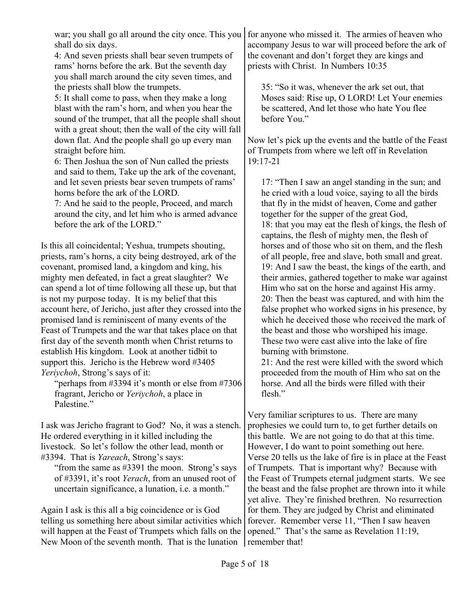shall do six days.

4: And seven priests shall bear seven trumpets of rams' horns before the ark. But the seventh day you shall march around the city seven times, and the priests shall blow the trumpets.

5: It shall come to pass, when they make a long blast with the ram's horn, and when you hear the sound of the trumpet, that all the people shall shout with a great shout; then the wall of the city will fall down flat. And the people shall go up every man straight before him.

6: Then Joshua the son of Nun called the priests and said to them, Take up the ark of the covenant, and let seven priests bear seven trumpets of rams' horns before the ark of the LORD.

7: And he said to the people, Proceed, and march around the city, and let him who is armed advance before the ark of the LORD."

Is this all coincidental; Yeshua, trumpets shouting, priests, ram's horns, a city being destroyed, ark of the covenant, promised land, a kingdom and king, his mighty men defeated, in fact a great slaughter? We can spend a lot of time following all these up, but that is not my purpose today. It is my belief that this account here, of Jericho, just after they crossed into the promised land is reminiscent of many events of the Feast of Trumpets and the war that takes place on that first day of the seventh month when Christ returns to establish His kingdom. Look at another tidbit to support this. Jericho is the Hebrew word #3405 *Yeriychoh*, Strong's says of it:

"perhaps from #3394 it's month or else from #7306 fragrant, Jericho or *Yeriychoh*, a place in Palestine."

I ask was Jericho fragrant to God? No, it was a stench. He ordered everything in it killed including the livestock. So let's follow the other lead, month or #3394. That is *Yareach*, Strong's says:

"from the same as #3391 the moon. Strong's says of #3391, it's root *Yerach*, from an unused root of uncertain significance, a lunation, i.e. a month."

Again I ask is this all a big coincidence or is God telling us something here about similar activities which will happen at the Feast of Trumpets which falls on the New Moon of the seventh month. That is the lunation

war; you shall go all around the city once. This you for anyone who missed it. The armies of heaven who accompany Jesus to war will proceed before the ark of the covenant and don't forget they are kings and priests with Christ. In Numbers 10:35

> 35: "So it was, whenever the ark set out, that Moses said: Rise up, O LORD! Let Your enemies be scattered, And let those who hate You flee before You."

Now let's pick up the events and the battle of the Feast of Trumpets from where we left off in Revelation 19:17-21

17: "Then I saw an angel standing in the sun; and he cried with a loud voice, saying to all the birds that fly in the midst of heaven, Come and gather together for the supper of the great God, 18: that you may eat the flesh of kings, the flesh of captains, the flesh of mighty men, the flesh of horses and of those who sit on them, and the flesh of all people, free and slave, both small and great. 19: And I saw the beast, the kings of the earth, and their armies, gathered together to make war against Him who sat on the horse and against His army. 20: Then the beast was captured, and with him the false prophet who worked signs in his presence, by which he deceived those who received the mark of the beast and those who worshiped his image. These two were cast alive into the lake of fire burning with brimstone.

21: And the rest were killed with the sword which proceeded from the mouth of Him who sat on the horse. And all the birds were filled with their flesh."

Very familiar scriptures to us. There are many prophesies we could turn to, to get further details on this battle. We are not going to do that at this time. However, I do want to point something out here. Verse 20 tells us the lake of fire is in place at the Feast of Trumpets. That is important why? Because with the Feast of Trumpets eternal judgment starts. We see the beast and the false prophet are thrown into it while yet alive. They're finished brethren. No resurrection for them. They are judged by Christ and eliminated forever. Remember verse 11, "Then I saw heaven opened." That's the same as Revelation 11:19, remember that!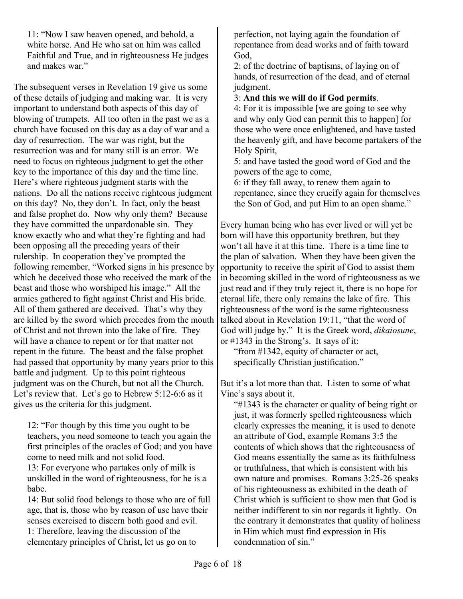11: "Now I saw heaven opened, and behold, a white horse. And He who sat on him was called Faithful and True, and in righteousness He judges and makes war."

The subsequent verses in Revelation 19 give us some of these details of judging and making war. It is very important to understand both aspects of this day of blowing of trumpets. All too often in the past we as a church have focused on this day as a day of war and a day of resurrection. The war was right, but the resurrection was and for many still is an error. We need to focus on righteous judgment to get the other key to the importance of this day and the time line. Here's where righteous judgment starts with the nations. Do all the nations receive righteous judgment on this day? No, they don't. In fact, only the beast and false prophet do. Now why only them? Because they have committed the unpardonable sin. They know exactly who and what they're fighting and had been opposing all the preceding years of their rulership. In cooperation they've prompted the following remember, "Worked signs in his presence by which he deceived those who received the mark of the beast and those who worshiped his image." All the armies gathered to fight against Christ and His bride. All of them gathered are deceived. That's why they are killed by the sword which precedes from the mouth of Christ and not thrown into the lake of fire. They will have a chance to repent or for that matter not repent in the future. The beast and the false prophet had passed that opportunity by many years prior to this battle and judgment. Up to this point righteous judgment was on the Church, but not all the Church. Let's review that. Let's go to Hebrew 5:12-6:6 as it gives us the criteria for this judgment.

12: "For though by this time you ought to be teachers, you need someone to teach you again the first principles of the oracles of God; and you have come to need milk and not solid food.

13: For everyone who partakes only of milk is unskilled in the word of righteousness, for he is a babe.

14: But solid food belongs to those who are of full age, that is, those who by reason of use have their senses exercised to discern both good and evil.

1: Therefore, leaving the discussion of the elementary principles of Christ, let us go on to perfection, not laying again the foundation of repentance from dead works and of faith toward God,

2: of the doctrine of baptisms, of laying on of hands, of resurrection of the dead, and of eternal judgment.

## 3: **And this we will do if God permits**.

4: For it is impossible [we are going to see why and why only God can permit this to happen] for those who were once enlightened, and have tasted the heavenly gift, and have become partakers of the Holy Spirit,

5: and have tasted the good word of God and the powers of the age to come,

6: if they fall away, to renew them again to repentance, since they crucify again for themselves the Son of God, and put Him to an open shame."

Every human being who has ever lived or will yet be born will have this opportunity brethren, but they won't all have it at this time. There is a time line to the plan of salvation. When they have been given the opportunity to receive the spirit of God to assist them in becoming skilled in the word of righteousness as we just read and if they truly reject it, there is no hope for eternal life, there only remains the lake of fire. This righteousness of the word is the same righteousness talked about in Revelation 19:11, "that the word of God will judge by." It is the Greek word, *dikaiosune*, or #1343 in the Strong's. It says of it:

"from #1342, equity of character or act, specifically Christian justification."

But it's a lot more than that. Listen to some of what Vine's says about it.

"#1343 is the character or quality of being right or just, it was formerly spelled righteousness which clearly expresses the meaning, it is used to denote an attribute of God, example Romans 3:5 the contents of which shows that the righteousness of God means essentially the same as its faithfulness or truthfulness, that which is consistent with his own nature and promises. Romans 3:25-26 speaks of his righteousness as exhibited in the death of Christ which is sufficient to show men that God is neither indifferent to sin nor regards it lightly. On the contrary it demonstrates that quality of holiness in Him which must find expression in His condemnation of sin."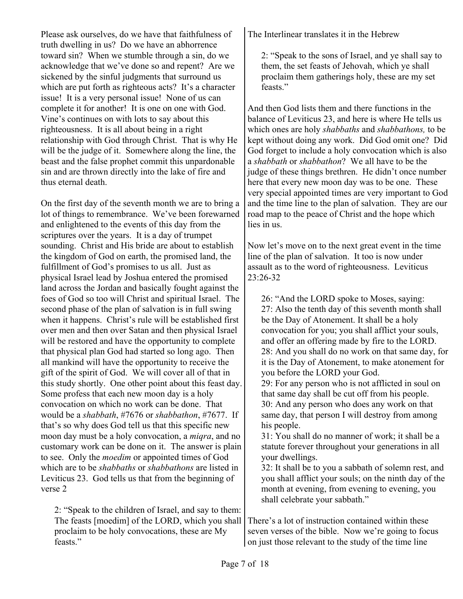Please ask ourselves, do we have that faithfulness of truth dwelling in us? Do we have an abhorrence toward sin? When we stumble through a sin, do we acknowledge that we've done so and repent? Are we sickened by the sinful judgments that surround us which are put forth as righteous acts? It's a character issue! It is a very personal issue! None of us can complete it for another! It is one on one with God. Vine's continues on with lots to say about this righteousness. It is all about being in a right relationship with God through Christ. That is why He will be the judge of it. Somewhere along the line, the beast and the false prophet commit this unpardonable sin and are thrown directly into the lake of fire and thus eternal death.

On the first day of the seventh month we are to bring a lot of things to remembrance. We've been forewarned and enlightened to the events of this day from the scriptures over the years. It is a day of trumpet sounding. Christ and His bride are about to establish the kingdom of God on earth, the promised land, the fulfillment of God's promises to us all. Just as physical Israel lead by Joshua entered the promised land across the Jordan and basically fought against the foes of God so too will Christ and spiritual Israel. The second phase of the plan of salvation is in full swing when it happens. Christ's rule will be established first over men and then over Satan and then physical Israel will be restored and have the opportunity to complete that physical plan God had started so long ago. Then all mankind will have the opportunity to receive the gift of the spirit of God. We will cover all of that in this study shortly. One other point about this feast day. Some profess that each new moon day is a holy convocation on which no work can be done. That would be a *shabbath*, #7676 or *shabbathon*, #7677. If that's so why does God tell us that this specific new moon day must be a holy convocation, a *miqra*, and no customary work can be done on it. The answer is plain to see. Only the *moedim* or appointed times of God which are to be *shabbaths* or *shabbathons* are listed in Leviticus 23. God tells us that from the beginning of verse 2

2: "Speak to the children of Israel, and say to them: The feasts [moedim] of the LORD, which you shall proclaim to be holy convocations, these are My feasts<sup>"</sup>

The Interlinear translates it in the Hebrew

2: "Speak to the sons of Israel, and ye shall say to them, the set feasts of Jehovah, which ye shall proclaim them gatherings holy, these are my set feasts."

And then God lists them and there functions in the balance of Leviticus 23, and here is where He tells us which ones are holy *shabbaths* and *shabbathons,* to be kept without doing any work. Did God omit one? Did God forget to include a holy convocation which is also a *shabbath* or *shabbathon*? We all have to be the judge of these things brethren. He didn't once number here that every new moon day was to be one. These very special appointed times are very important to God and the time line to the plan of salvation. They are our road map to the peace of Christ and the hope which lies in us.

Now let's move on to the next great event in the time line of the plan of salvation. It too is now under assault as to the word of righteousness. Leviticus 23:26-32

26: "And the LORD spoke to Moses, saying: 27: Also the tenth day of this seventh month shall be the Day of Atonement. It shall be a holy convocation for you; you shall afflict your souls, and offer an offering made by fire to the LORD. 28: And you shall do no work on that same day, for it is the Day of Atonement, to make atonement for you before the LORD your God. 29: For any person who is not afflicted in soul on

that same day shall be cut off from his people. 30: And any person who does any work on that same day, that person I will destroy from among his people.

31: You shall do no manner of work; it shall be a statute forever throughout your generations in all your dwellings.

32: It shall be to you a sabbath of solemn rest, and you shall afflict your souls; on the ninth day of the month at evening, from evening to evening, you shall celebrate your sabbath."

There's a lot of instruction contained within these seven verses of the bible. Now we're going to focus on just those relevant to the study of the time line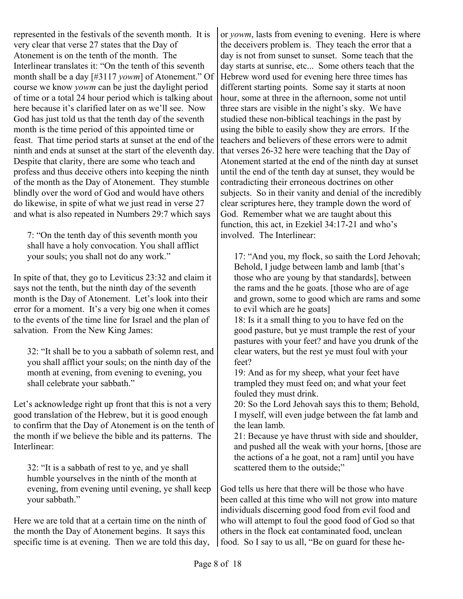represented in the festivals of the seventh month. It is very clear that verse 27 states that the Day of Atonement is on the tenth of the month. The Interlinear translates it: "On the tenth of this seventh month shall be a day [#3117 *yowm*] of Atonement." Of course we know *yowm* can be just the daylight period of time or a total 24 hour period which is talking about here because it's clarified later on as we'll see. Now God has just told us that the tenth day of the seventh month is the time period of this appointed time or feast. That time period starts at sunset at the end of the ninth and ends at sunset at the start of the eleventh day. Despite that clarity, there are some who teach and profess and thus deceive others into keeping the ninth of the month as the Day of Atonement. They stumble blindly over the word of God and would have others do likewise, in spite of what we just read in verse 27 and what is also repeated in Numbers 29:7 which says

7: "On the tenth day of this seventh month you shall have a holy convocation. You shall afflict your souls; you shall not do any work."

In spite of that, they go to Leviticus 23:32 and claim it says not the tenth, but the ninth day of the seventh month is the Day of Atonement. Let's look into their error for a moment. It's a very big one when it comes to the events of the time line for Israel and the plan of salvation. From the New King James:

32: "It shall be to you a sabbath of solemn rest, and you shall afflict your souls; on the ninth day of the month at evening, from evening to evening, you shall celebrate your sabbath."

Let's acknowledge right up front that this is not a very good translation of the Hebrew, but it is good enough to confirm that the Day of Atonement is on the tenth of the month if we believe the bible and its patterns. The Interlinear:

32: "It is a sabbath of rest to ye, and ye shall humble yourselves in the ninth of the month at evening, from evening until evening, ye shall keep your sabbath."

Here we are told that at a certain time on the ninth of the month the Day of Atonement begins. It says this specific time is at evening. Then we are told this day, or *yowm*, lasts from evening to evening. Here is where the deceivers problem is. They teach the error that a day is not from sunset to sunset. Some teach that the day starts at sunrise, etc... Some others teach that the Hebrew word used for evening here three times has different starting points. Some say it starts at noon hour, some at three in the afternoon, some not until three stars are visible in the night's sky. We have studied these non-biblical teachings in the past by using the bible to easily show they are errors. If the teachers and believers of these errors were to admit that verses 26-32 here were teaching that the Day of Atonement started at the end of the ninth day at sunset until the end of the tenth day at sunset, they would be contradicting their erroneous doctrines on other subjects. So in their vanity and denial of the incredibly clear scriptures here, they trample down the word of God. Remember what we are taught about this function, this act, in Ezekiel 34:17-21 and who's involved. The Interlinear:

17: "And you, my flock, so saith the Lord Jehovah; Behold, I judge between lamb and lamb [that's those who are young by that standards], between the rams and the he goats. [those who are of age and grown, some to good which are rams and some to evil which are he goats]

18: Is it a small thing to you to have fed on the good pasture, but ye must trample the rest of your pastures with your feet? and have you drunk of the clear waters, but the rest ye must foul with your feet?

19: And as for my sheep, what your feet have trampled they must feed on; and what your feet fouled they must drink.

20: So the Lord Jehovah says this to them; Behold, I myself, will even judge between the fat lamb and the lean lamb.

21: Because ye have thrust with side and shoulder, and pushed all the weak with your horns, [those are the actions of a he goat, not a ram] until you have scattered them to the outside:"

God tells us here that there will be those who have been called at this time who will not grow into mature individuals discerning good food from evil food and who will attempt to foul the good food of God so that others in the flock eat contaminated food, unclean food. So I say to us all, "Be on guard for these he-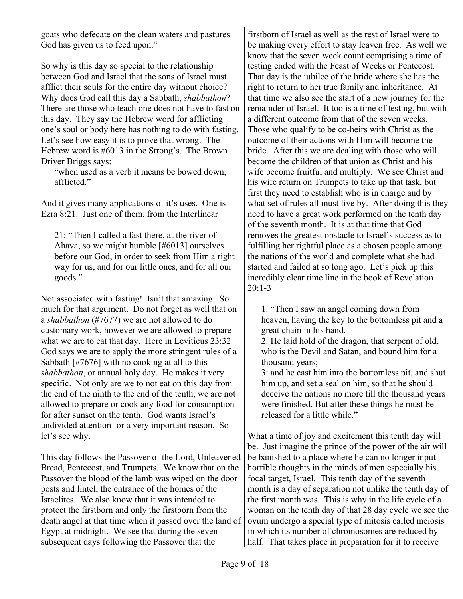goats who defecate on the clean waters and pastures God has given us to feed upon."

So why is this day so special to the relationship between God and Israel that the sons of Israel must afflict their souls for the entire day without choice? Why does God call this day a Sabbath, *shabbathon*? There are those who teach one does not have to fast on this day. They say the Hebrew word for afflicting one's soul or body here has nothing to do with fasting. Let's see how easy it is to prove that wrong. The Hebrew word is #6013 in the Strong's. The Brown Driver Briggs says:

"when used as a verb it means be bowed down, afflicted."

And it gives many applications of it's uses. One is Ezra 8:21. Just one of them, from the Interlinear

21: "Then I called a fast there, at the river of Ahava, so we might humble [#6013] ourselves before our God, in order to seek from Him a right way for us, and for our little ones, and for all our goods."

Not associated with fasting! Isn't that amazing. So much for that argument. Do not forget as well that on a *shabbathon* (#7677) we are not allowed to do customary work, however we are allowed to prepare what we are to eat that day. Here in Leviticus 23:32 God says we are to apply the more stringent rules of a Sabbath [#7676] with no cooking at all to this *shabbathon*, or annual holy day. He makes it very specific. Not only are we to not eat on this day from the end of the ninth to the end of the tenth, we are not allowed to prepare or cook any food for consumption for after sunset on the tenth. God wants Israel's undivided attention for a very important reason. So let's see why.

This day follows the Passover of the Lord, Unleavened Bread, Pentecost, and Trumpets. We know that on the Passover the blood of the lamb was wiped on the door posts and lintel, the entrance of the homes of the Israelites. We also know that it was intended to protect the firstborn and only the firstborn from the death angel at that time when it passed over the land of Egypt at midnight. We see that during the seven subsequent days following the Passover that the

firstborn of Israel as well as the rest of Israel were to be making every effort to stay leaven free. As well we know that the seven week count comprising a time of testing ended with the Feast of Weeks or Pentecost. That day is the jubilee of the bride where she has the right to return to her true family and inheritance. At that time we also see the start of a new journey for the remainder of Israel. It too is a time of testing, but with a different outcome from that of the seven weeks. Those who qualify to be co-heirs with Christ as the outcome of their actions with Him will become the bride. After this we are dealing with those who will become the children of that union as Christ and his wife become fruitful and multiply. We see Christ and his wife return on Trumpets to take up that task, but first they need to establish who is in charge and by what set of rules all must live by. After doing this they need to have a great work performed on the tenth day of the seventh month. It is at that time that God removes the greatest obstacle to Israel's success as to fulfilling her rightful place as a chosen people among the nations of the world and complete what she had started and failed at so long ago. Let's pick up this incredibly clear time line in the book of Revelation 20:1-3

1: "Then I saw an angel coming down from heaven, having the key to the bottomless pit and a great chain in his hand.

2: He laid hold of the dragon, that serpent of old, who is the Devil and Satan, and bound him for a thousand years;

3: and he cast him into the bottomless pit, and shut him up, and set a seal on him, so that he should deceive the nations no more till the thousand years were finished. But after these things he must be released for a little while."

What a time of joy and excitement this tenth day will be. Just imagine the prince of the power of the air will be banished to a place where he can no longer input horrible thoughts in the minds of men especially his focal target, Israel. This tenth day of the seventh month is a day of separation not unlike the tenth day of the first month was. This is why in the life cycle of a woman on the tenth day of that 28 day cycle we see the ovum undergo a special type of mitosis called meiosis in which its number of chromosomes are reduced by half. That takes place in preparation for it to receive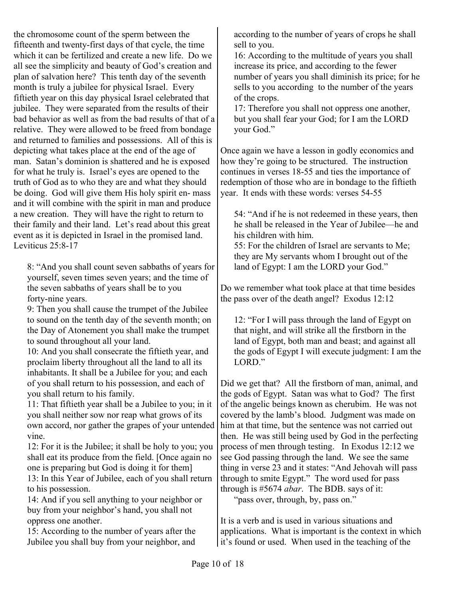the chromosome count of the sperm between the fifteenth and twenty-first days of that cycle, the time which it can be fertilized and create a new life. Do we all see the simplicity and beauty of God's creation and plan of salvation here? This tenth day of the seventh month is truly a jubilee for physical Israel. Every fiftieth year on this day physical Israel celebrated that jubilee. They were separated from the results of their bad behavior as well as from the bad results of that of a relative. They were allowed to be freed from bondage and returned to families and possessions. All of this is depicting what takes place at the end of the age of man. Satan's dominion is shattered and he is exposed for what he truly is. Israel's eyes are opened to the truth of God as to who they are and what they should be doing. God will give them His holy spirit en- mass and it will combine with the spirit in man and produce a new creation. They will have the right to return to their family and their land. Let's read about this great event as it is depicted in Israel in the promised land. Leviticus 25:8-17

8: "And you shall count seven sabbaths of years for yourself, seven times seven years; and the time of the seven sabbaths of years shall be to you forty-nine years.

9: Then you shall cause the trumpet of the Jubilee to sound on the tenth day of the seventh month; on the Day of Atonement you shall make the trumpet to sound throughout all your land.

10: And you shall consecrate the fiftieth year, and proclaim liberty throughout all the land to all its inhabitants. It shall be a Jubilee for you; and each of you shall return to his possession, and each of you shall return to his family.

11: That fiftieth year shall be a Jubilee to you; in it you shall neither sow nor reap what grows of its own accord, nor gather the grapes of your untended vine.

12: For it is the Jubilee; it shall be holy to you; you shall eat its produce from the field. [Once again no one is preparing but God is doing it for them]

13: In this Year of Jubilee, each of you shall return to his possession.

14: And if you sell anything to your neighbor or buy from your neighbor's hand, you shall not oppress one another.

15: According to the number of years after the Jubilee you shall buy from your neighbor, and

according to the number of years of crops he shall sell to you.

16: According to the multitude of years you shall increase its price, and according to the fewer number of years you shall diminish its price; for he sells to you according to the number of the years of the crops.

17: Therefore you shall not oppress one another, but you shall fear your God; for I am the LORD your God."

Once again we have a lesson in godly economics and how they're going to be structured. The instruction continues in verses 18-55 and ties the importance of redemption of those who are in bondage to the fiftieth year. It ends with these words: verses 54-55

54: "And if he is not redeemed in these years, then he shall be released in the Year of Jubilee—he and his children with him.

55: For the children of Israel are servants to Me; they are My servants whom I brought out of the land of Egypt: I am the LORD your God."

Do we remember what took place at that time besides the pass over of the death angel? Exodus 12:12

12: "For I will pass through the land of Egypt on that night, and will strike all the firstborn in the land of Egypt, both man and beast; and against all the gods of Egypt I will execute judgment: I am the LORD."

Did we get that? All the firstborn of man, animal, and the gods of Egypt. Satan was what to God? The first of the angelic beings known as cherubim. He was not covered by the lamb's blood. Judgment was made on him at that time, but the sentence was not carried out then. He was still being used by God in the perfecting process of men through testing. In Exodus 12:12 we see God passing through the land. We see the same thing in verse 23 and it states: "And Jehovah will pass through to smite Egypt." The word used for pass through is #5674 *abar*. The BDB. says of it:

"pass over, through, by, pass on."

It is a verb and is used in various situations and applications. What is important is the context in which it's found or used. When used in the teaching of the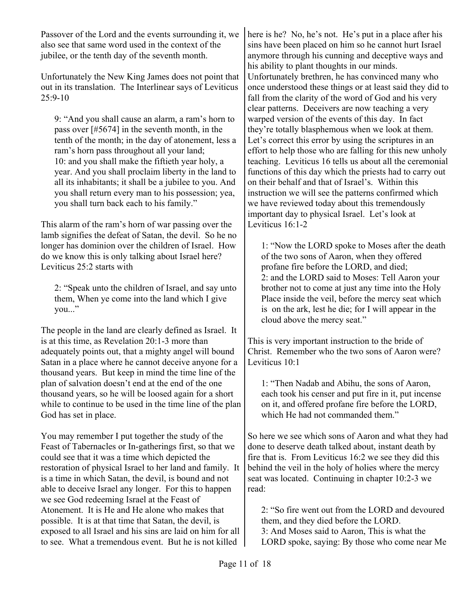Passover of the Lord and the events surrounding it, we also see that same word used in the context of the jubilee, or the tenth day of the seventh month.

Unfortunately the New King James does not point that out in its translation. The Interlinear says of Leviticus  $25:9-10$ 

9: "And you shall cause an alarm, a ram's horn to pass over [#5674] in the seventh month, in the tenth of the month; in the day of atonement, less a ram's horn pass throughout all your land; 10: and you shall make the fiftieth year holy, a year. And you shall proclaim liberty in the land to all its inhabitants; it shall be a jubilee to you. And you shall return every man to his possession; yea, you shall turn back each to his family."

This alarm of the ram's horn of war passing over the lamb signifies the defeat of Satan, the devil. So he no longer has dominion over the children of Israel. How do we know this is only talking about Israel here? Leviticus 25:2 starts with

2: "Speak unto the children of Israel, and say unto them, When ye come into the land which I give  $vou..."$ 

The people in the land are clearly defined as Israel. It is at this time, as Revelation 20:1-3 more than adequately points out, that a mighty angel will bound Satan in a place where he cannot deceive anyone for a thousand years. But keep in mind the time line of the plan of salvation doesn't end at the end of the one thousand years, so he will be loosed again for a short while to continue to be used in the time line of the plan God has set in place.

You may remember I put together the study of the Feast of Tabernacles or In-gatherings first, so that we could see that it was a time which depicted the restoration of physical Israel to her land and family. It is a time in which Satan, the devil, is bound and not able to deceive Israel any longer. For this to happen we see God redeeming Israel at the Feast of Atonement. It is He and He alone who makes that possible. It is at that time that Satan, the devil, is exposed to all Israel and his sins are laid on him for all to see. What a tremendous event. But he is not killed

here is he? No, he's not. He's put in a place after his sins have been placed on him so he cannot hurt Israel anymore through his cunning and deceptive ways and his ability to plant thoughts in our minds. Unfortunately brethren, he has convinced many who once understood these things or at least said they did to fall from the clarity of the word of God and his very clear patterns. Deceivers are now teaching a very warped version of the events of this day. In fact they're totally blasphemous when we look at them. Let's correct this error by using the scriptures in an effort to help those who are falling for this new unholy teaching. Leviticus 16 tells us about all the ceremonial functions of this day which the priests had to carry out on their behalf and that of Israel's. Within this instruction we will see the patterns confirmed which we have reviewed today about this tremendously important day to physical Israel. Let's look at Leviticus 16:1-2

1: "Now the LORD spoke to Moses after the death of the two sons of Aaron, when they offered profane fire before the LORD, and died; 2: and the LORD said to Moses: Tell Aaron your brother not to come at just any time into the Holy Place inside the veil, before the mercy seat which is on the ark, lest he die; for I will appear in the cloud above the mercy seat."

This is very important instruction to the bride of Christ. Remember who the two sons of Aaron were? Leviticus 10:1

1: "Then Nadab and Abihu, the sons of Aaron, each took his censer and put fire in it, put incense on it, and offered profane fire before the LORD, which He had not commanded them."

So here we see which sons of Aaron and what they had done to deserve death talked about, instant death by fire that is. From Leviticus 16:2 we see they did this behind the veil in the holy of holies where the mercy seat was located. Continuing in chapter 10:2-3 we read:

2: "So fire went out from the LORD and devoured them, and they died before the LORD. 3: And Moses said to Aaron, This is what the LORD spoke, saying: By those who come near Me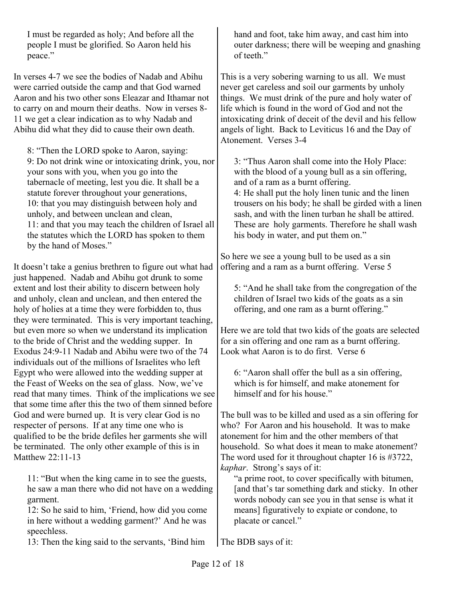I must be regarded as holy; And before all the people I must be glorified. So Aaron held his peace."

In verses 4-7 we see the bodies of Nadab and Abihu were carried outside the camp and that God warned Aaron and his two other sons Eleazar and Ithamar not to carry on and mourn their deaths. Now in verses 8- 11 we get a clear indication as to why Nadab and Abihu did what they did to cause their own death.

8: "Then the LORD spoke to Aaron, saying: 9: Do not drink wine or intoxicating drink, you, nor your sons with you, when you go into the tabernacle of meeting, lest you die. It shall be a statute forever throughout your generations, 10: that you may distinguish between holy and unholy, and between unclean and clean, 11: and that you may teach the children of Israel all the statutes which the LORD has spoken to them by the hand of Moses."

It doesn't take a genius brethren to figure out what had just happened. Nadab and Abihu got drunk to some extent and lost their ability to discern between holy and unholy, clean and unclean, and then entered the holy of holies at a time they were forbidden to, thus they were terminated. This is very important teaching, but even more so when we understand its implication to the bride of Christ and the wedding supper. In Exodus 24:9-11 Nadab and Abihu were two of the 74 individuals out of the millions of Israelites who left Egypt who were allowed into the wedding supper at the Feast of Weeks on the sea of glass. Now, we've read that many times. Think of the implications we see that some time after this the two of them sinned before God and were burned up. It is very clear God is no respecter of persons. If at any time one who is qualified to be the bride defiles her garments she will be terminated. The only other example of this is in Matthew 22:11-13

11: "But when the king came in to see the guests, he saw a man there who did not have on a wedding garment.

12: So he said to him, 'Friend, how did you come in here without a wedding garment?' And he was speechless.

13: Then the king said to the servants, 'Bind him

hand and foot, take him away, and cast him into outer darkness; there will be weeping and gnashing of teeth"

This is a very sobering warning to us all. We must never get careless and soil our garments by unholy things. We must drink of the pure and holy water of life which is found in the word of God and not the intoxicating drink of deceit of the devil and his fellow angels of light. Back to Leviticus 16 and the Day of Atonement. Verses 3-4

3: "Thus Aaron shall come into the Holy Place: with the blood of a young bull as a sin offering, and of a ram as a burnt offering.

4: He shall put the holy linen tunic and the linen trousers on his body; he shall be girded with a linen sash, and with the linen turban he shall be attired. These are holy garments. Therefore he shall wash his body in water, and put them on."

So here we see a young bull to be used as a sin offering and a ram as a burnt offering. Verse 5

5: "And he shall take from the congregation of the children of Israel two kids of the goats as a sin offering, and one ram as a burnt offering."

Here we are told that two kids of the goats are selected for a sin offering and one ram as a burnt offering. Look what Aaron is to do first. Verse 6

6: "Aaron shall offer the bull as a sin offering, which is for himself, and make atonement for himself and for his house."

The bull was to be killed and used as a sin offering for who? For Aaron and his household. It was to make atonement for him and the other members of that household. So what does it mean to make atonement? The word used for it throughout chapter 16 is #3722, *kaphar*. Strong's says of it:

"a prime root, to cover specifically with bitumen, [and that's tar something dark and sticky. In other words nobody can see you in that sense is what it means] figuratively to expiate or condone, to placate or cancel."

The BDB says of it: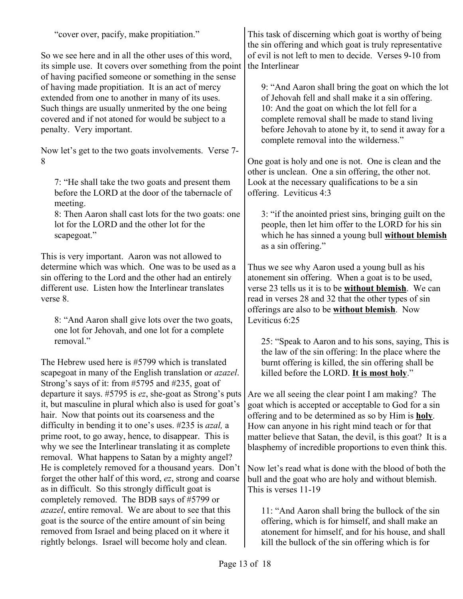"cover over, pacify, make propitiation."

So we see here and in all the other uses of this word, its simple use. It covers over something from the point of having pacified someone or something in the sense of having made propitiation. It is an act of mercy extended from one to another in many of its uses. Such things are usually unmerited by the one being covered and if not atoned for would be subject to a penalty. Very important.

Now let's get to the two goats involvements. Verse 7- 8

7: "He shall take the two goats and present them before the LORD at the door of the tabernacle of meeting.

8: Then Aaron shall cast lots for the two goats: one lot for the LORD and the other lot for the scapegoat."

This is very important. Aaron was not allowed to determine which was which. One was to be used as a sin offering to the Lord and the other had an entirely different use. Listen how the Interlinear translates verse 8.

8: "And Aaron shall give lots over the two goats, one lot for Jehovah, and one lot for a complete removal"

The Hebrew used here is #5799 which is translated scapegoat in many of the English translation or *azazel*. Strong's says of it: from #5795 and #235, goat of departure it says. #5795 is *ez*, she-goat as Strong's puts it, but masculine in plural which also is used for goat's hair. Now that points out its coarseness and the difficulty in bending it to one's uses. #235 is *azal,* a prime root, to go away, hence, to disappear. This is why we see the Interlinear translating it as complete removal. What happens to Satan by a mighty angel? He is completely removed for a thousand years. Don't forget the other half of this word, *ez*, strong and coarse as in difficult. So this strongly difficult goat is completely removed. The BDB says of #5799 or *azazel*, entire removal. We are about to see that this goat is the source of the entire amount of sin being removed from Israel and being placed on it where it rightly belongs. Israel will become holy and clean.

This task of discerning which goat is worthy of being the sin offering and which goat is truly representative of evil is not left to men to decide. Verses 9-10 from the Interlinear

9: "And Aaron shall bring the goat on which the lot of Jehovah fell and shall make it a sin offering. 10: And the goat on which the lot fell for a complete removal shall be made to stand living before Jehovah to atone by it, to send it away for a complete removal into the wilderness."

One goat is holy and one is not. One is clean and the other is unclean. One a sin offering, the other not. Look at the necessary qualifications to be a sin offering. Leviticus 4:3

3: "if the anointed priest sins, bringing guilt on the people, then let him offer to the LORD for his sin which he has sinned a young bull **without blemish** as a sin offering."

Thus we see why Aaron used a young bull as his atonement sin offering. When a goat is to be used, verse 23 tells us it is to be **without blemish**. We can read in verses 28 and 32 that the other types of sin offerings are also to be **without blemish**. Now Leviticus 6:25

25: "Speak to Aaron and to his sons, saying, This is the law of the sin offering: In the place where the burnt offering is killed, the sin offering shall be killed before the LORD. **It is most holy**."

Are we all seeing the clear point I am making? The goat which is accepted or acceptable to God for a sin offering and to be determined as so by Him is **holy**. How can anyone in his right mind teach or for that matter believe that Satan, the devil, is this goat? It is a blasphemy of incredible proportions to even think this.

Now let's read what is done with the blood of both the bull and the goat who are holy and without blemish. This is verses 11-19

11: "And Aaron shall bring the bullock of the sin offering, which is for himself, and shall make an atonement for himself, and for his house, and shall kill the bullock of the sin offering which is for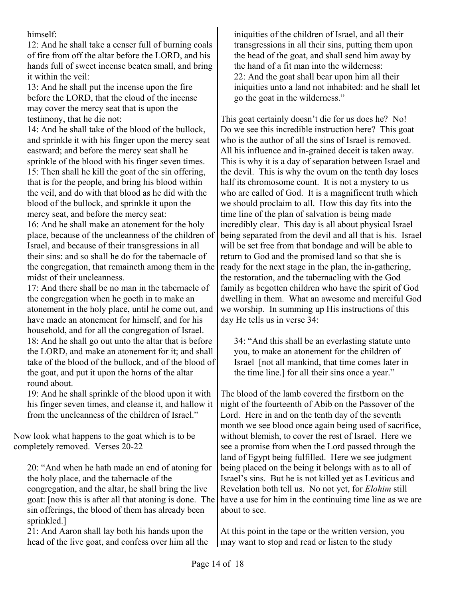himself:

12: And he shall take a censer full of burning coals of fire from off the altar before the LORD, and his hands full of sweet incense beaten small, and bring it within the veil:

13: And he shall put the incense upon the fire before the LORD, that the cloud of the incense may cover the mercy seat that is upon the testimony, that he die not:

14: And he shall take of the blood of the bullock, and sprinkle it with his finger upon the mercy seat eastward; and before the mercy seat shall he sprinkle of the blood with his finger seven times. 15: Then shall he kill the goat of the sin offering, that is for the people, and bring his blood within the veil, and do with that blood as he did with the blood of the bullock, and sprinkle it upon the mercy seat, and before the mercy seat:

16: And he shall make an atonement for the holy place, because of the uncleanness of the children of Israel, and because of their transgressions in all their sins: and so shall he do for the tabernacle of the congregation, that remaineth among them in the midst of their uncleanness.

17: And there shall be no man in the tabernacle of the congregation when he goeth in to make an atonement in the holy place, until he come out, and have made an atonement for himself, and for his household, and for all the congregation of Israel. 18: And he shall go out unto the altar that is before the LORD, and make an atonement for it; and shall take of the blood of the bullock, and of the blood of the goat, and put it upon the horns of the altar round about.

19: And he shall sprinkle of the blood upon it with his finger seven times, and cleanse it, and hallow it from the uncleanness of the children of Israel."

Now look what happens to the goat which is to be completely removed. Verses 20-22

20: "And when he hath made an end of atoning for the holy place, and the tabernacle of the congregation, and the altar, he shall bring the live goat: [now this is after all that atoning is done. The sin offerings, the blood of them has already been sprinkled.]

21: And Aaron shall lay both his hands upon the head of the live goat, and confess over him all the iniquities of the children of Israel, and all their transgressions in all their sins, putting them upon the head of the goat, and shall send him away by the hand of a fit man into the wilderness: 22: And the goat shall bear upon him all their iniquities unto a land not inhabited: and he shall let go the goat in the wilderness."

This goat certainly doesn't die for us does he? No! Do we see this incredible instruction here? This goat who is the author of all the sins of Israel is removed. All his influence and in-grained deceit is taken away. This is why it is a day of separation between Israel and the devil. This is why the ovum on the tenth day loses half its chromosome count. It is not a mystery to us who are called of God. It is a magnificent truth which we should proclaim to all. How this day fits into the time line of the plan of salvation is being made incredibly clear. This day is all about physical Israel being separated from the devil and all that is his. Israel will be set free from that bondage and will be able to return to God and the promised land so that she is ready for the next stage in the plan, the in-gathering, the restoration, and the tabernacling with the God family as begotten children who have the spirit of God dwelling in them. What an awesome and merciful God we worship. In summing up His instructions of this day He tells us in verse 34:

34: "And this shall be an everlasting statute unto you, to make an atonement for the children of Israel [not all mankind, that time comes later in the time line.] for all their sins once a year."

The blood of the lamb covered the firstborn on the night of the fourteenth of Abib on the Passover of the Lord. Here in and on the tenth day of the seventh month we see blood once again being used of sacrifice, without blemish, to cover the rest of Israel. Here we see a promise from when the Lord passed through the land of Egypt being fulfilled. Here we see judgment being placed on the being it belongs with as to all of Israel's sins. But he is not killed yet as Leviticus and Revelation both tell us. No not yet, for *Elohim* still have a use for him in the continuing time line as we are about to see.

At this point in the tape or the written version, you may want to stop and read or listen to the study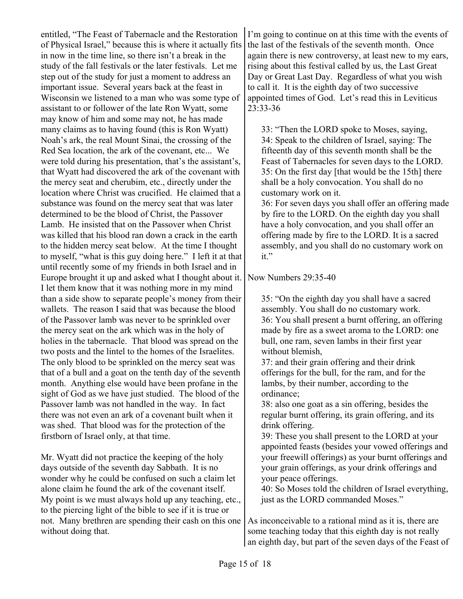entitled, "The Feast of Tabernacle and the Restoration of Physical Israel," because this is where it actually fits in now in the time line, so there isn't a break in the study of the fall festivals or the later festivals. Let me step out of the study for just a moment to address an important issue. Several years back at the feast in Wisconsin we listened to a man who was some type of assistant to or follower of the late Ron Wyatt, some may know of him and some may not, he has made many claims as to having found (this is Ron Wyatt) Noah's ark, the real Mount Sinai, the crossing of the Red Sea location, the ark of the covenant, etc... We were told during his presentation, that's the assistant's, that Wyatt had discovered the ark of the covenant with the mercy seat and cherubim, etc., directly under the location where Christ was crucified. He claimed that a substance was found on the mercy seat that was later determined to be the blood of Christ, the Passover Lamb. He insisted that on the Passover when Christ was killed that his blood ran down a crack in the earth to the hidden mercy seat below. At the time I thought to myself, "what is this guy doing here." I left it at that until recently some of my friends in both Israel and in Europe brought it up and asked what I thought about it. I let them know that it was nothing more in my mind than a side show to separate people's money from their wallets. The reason I said that was because the blood of the Passover lamb was never to be sprinkled over the mercy seat on the ark which was in the holy of holies in the tabernacle. That blood was spread on the two posts and the lintel to the homes of the Israelites. The only blood to be sprinkled on the mercy seat was that of a bull and a goat on the tenth day of the seventh month. Anything else would have been profane in the sight of God as we have just studied. The blood of the Passover lamb was not handled in the way. In fact there was not even an ark of a covenant built when it was shed. That blood was for the protection of the firstborn of Israel only, at that time.

Mr. Wyatt did not practice the keeping of the holy days outside of the seventh day Sabbath. It is no wonder why he could be confused on such a claim let alone claim he found the ark of the covenant itself. My point is we must always hold up any teaching, etc., to the piercing light of the bible to see if it is true or not. Many brethren are spending their cash on this one without doing that.

I'm going to continue on at this time with the events of the last of the festivals of the seventh month. Once again there is new controversy, at least new to my ears, rising about this festival called by us, the Last Great Day or Great Last Day. Regardless of what you wish to call it. It is the eighth day of two successive appointed times of God. Let's read this in Leviticus 23:33-36

33: "Then the LORD spoke to Moses, saying, 34: Speak to the children of Israel, saying: The fifteenth day of this seventh month shall be the Feast of Tabernacles for seven days to the LORD. 35: On the first day [that would be the 15th] there shall be a holy convocation. You shall do no customary work on it.

36: For seven days you shall offer an offering made by fire to the LORD. On the eighth day you shall have a holy convocation, and you shall offer an offering made by fire to the LORD. It is a sacred assembly, and you shall do no customary work on it."

Now Numbers 29:35-40

35: "On the eighth day you shall have a sacred assembly. You shall do no customary work. 36: You shall present a burnt offering, an offering made by fire as a sweet aroma to the LORD: one bull, one ram, seven lambs in their first year without blemish,

37: and their grain offering and their drink offerings for the bull, for the ram, and for the lambs, by their number, according to the ordinance;

38: also one goat as a sin offering, besides the regular burnt offering, its grain offering, and its drink offering.

39: These you shall present to the LORD at your appointed feasts (besides your vowed offerings and your freewill offerings) as your burnt offerings and your grain offerings, as your drink offerings and your peace offerings.

40: So Moses told the children of Israel everything, just as the LORD commanded Moses."

As inconceivable to a rational mind as it is, there are some teaching today that this eighth day is not really an eighth day, but part of the seven days of the Feast of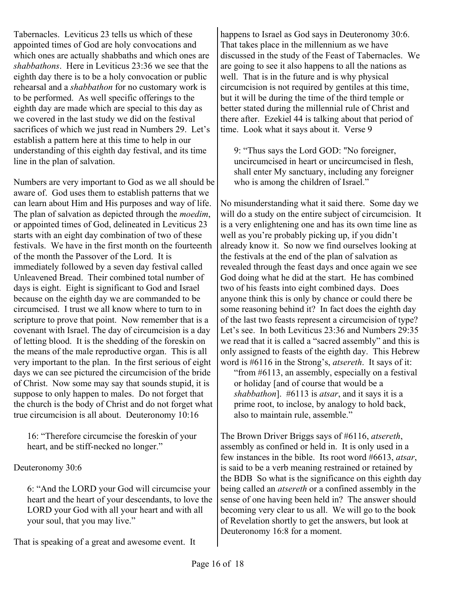Tabernacles. Leviticus 23 tells us which of these appointed times of God are holy convocations and which ones are actually shabbaths and which ones are *shabbathons*. Here in Leviticus 23:36 we see that the eighth day there is to be a holy convocation or public rehearsal and a *shabbathon* for no customary work is to be performed. As well specific offerings to the eighth day are made which are special to this day as we covered in the last study we did on the festival sacrifices of which we just read in Numbers 29. Let's establish a pattern here at this time to help in our understanding of this eighth day festival, and its time line in the plan of salvation.

Numbers are very important to God as we all should be aware of. God uses them to establish patterns that we can learn about Him and His purposes and way of life. The plan of salvation as depicted through the *moedim*, or appointed times of God, delineated in Leviticus 23 starts with an eight day combination of two of these festivals. We have in the first month on the fourteenth of the month the Passover of the Lord. It is immediately followed by a seven day festival called Unleavened Bread. Their combined total number of days is eight. Eight is significant to God and Israel because on the eighth day we are commanded to be circumcised. I trust we all know where to turn to in scripture to prove that point. Now remember that is a covenant with Israel. The day of circumcision is a day of letting blood. It is the shedding of the foreskin on the means of the male reproductive organ. This is all very important to the plan. In the first serious of eight days we can see pictured the circumcision of the bride of Christ. Now some may say that sounds stupid, it is suppose to only happen to males. Do not forget that the church is the body of Christ and do not forget what true circumcision is all about. Deuteronomy 10:16

16: "Therefore circumcise the foreskin of your heart, and be stiff-necked no longer."

Deuteronomy 30:6

6: "And the LORD your God will circumcise your heart and the heart of your descendants, to love the LORD your God with all your heart and with all your soul, that you may live."

That is speaking of a great and awesome event. It

happens to Israel as God says in Deuteronomy 30:6. That takes place in the millennium as we have discussed in the study of the Feast of Tabernacles. We are going to see it also happens to all the nations as well. That is in the future and is why physical circumcision is not required by gentiles at this time, but it will be during the time of the third temple or better stated during the millennial rule of Christ and there after. Ezekiel 44 is talking about that period of time. Look what it says about it. Verse 9

9: "Thus says the Lord GOD: "No foreigner, uncircumcised in heart or uncircumcised in flesh, shall enter My sanctuary, including any foreigner who is among the children of Israel."

No misunderstanding what it said there. Some day we will do a study on the entire subject of circumcision. It is a very enlightening one and has its own time line as well as you're probably picking up, if you didn't already know it. So now we find ourselves looking at the festivals at the end of the plan of salvation as revealed through the feast days and once again we see God doing what he did at the start. He has combined two of his feasts into eight combined days. Does anyone think this is only by chance or could there be some reasoning behind it? In fact does the eighth day of the last two feasts represent a circumcision of type? Let's see. In both Leviticus 23:36 and Numbers 29:35 we read that it is called a "sacred assembly" and this is only assigned to feasts of the eighth day. This Hebrew word is #6116 in the Strong's, *atsereth*. It says of it:

"from #6113, an assembly, especially on a festival or holiday [and of course that would be a *shabbathon*]. #6113 is *atsar*, and it says it is a prime root, to inclose, by analogy to hold back, also to maintain rule, assemble."

The Brown Driver Briggs says of #6116, *atsereth*, assembly as confined or held in. It is only used in a few instances in the bible. Its root word #6613, *atsar*, is said to be a verb meaning restrained or retained by the BDB So what is the significance on this eighth day being called an *atsereth* or a confined assembly in the sense of one having been held in? The answer should becoming very clear to us all. We will go to the book of Revelation shortly to get the answers, but look at Deuteronomy 16:8 for a moment.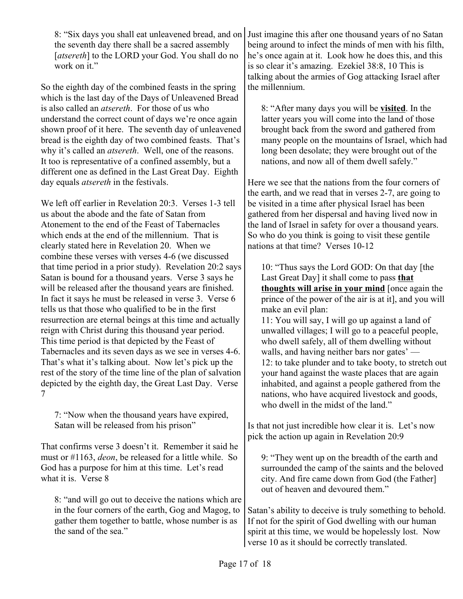the seventh day there shall be a sacred assembly [atsereth] to the LORD your God. You shall do no work on it."

So the eighth day of the combined feasts in the spring which is the last day of the Days of Unleavened Bread is also called an *atsereth*. For those of us who understand the correct count of days we're once again shown proof of it here. The seventh day of unleavened bread is the eighth day of two combined feasts. That's why it's called an *atsereth*. Well, one of the reasons. It too is representative of a confined assembly, but a different one as defined in the Last Great Day. Eighth day equals *atsereth* in the festivals.

We left off earlier in Revelation 20:3. Verses 1-3 tell us about the abode and the fate of Satan from Atonement to the end of the Feast of Tabernacles which ends at the end of the millennium. That is clearly stated here in Revelation 20. When we combine these verses with verses 4-6 (we discussed that time period in a prior study). Revelation 20:2 says Satan is bound for a thousand years. Verse 3 says he will be released after the thousand years are finished. In fact it says he must be released in verse 3. Verse 6 tells us that those who qualified to be in the first resurrection are eternal beings at this time and actually reign with Christ during this thousand year period. This time period is that depicted by the Feast of Tabernacles and its seven days as we see in verses 4-6. That's what it's talking about. Now let's pick up the rest of the story of the time line of the plan of salvation depicted by the eighth day, the Great Last Day. Verse 7

7: "Now when the thousand years have expired, Satan will be released from his prison"

That confirms verse 3 doesn't it. Remember it said he must or #1163, *deon*, be released for a little while. So God has a purpose for him at this time. Let's read what it is. Verse 8

8: "and will go out to deceive the nations which are in the four corners of the earth, Gog and Magog, to gather them together to battle, whose number is as the sand of the sea."

8: "Six days you shall eat unleavened bread, and on Just imagine this after one thousand years of no Satan being around to infect the minds of men with his filth, he's once again at it. Look how he does this, and this is so clear it's amazing. Ezekiel 38:8, 10 This is talking about the armies of Gog attacking Israel after the millennium.

> 8: "After many days you will be **visited**. In the latter years you will come into the land of those brought back from the sword and gathered from many people on the mountains of Israel, which had long been desolate; they were brought out of the nations, and now all of them dwell safely."

Here we see that the nations from the four corners of the earth, and we read that in verses 2-7, are going to be visited in a time after physical Israel has been gathered from her dispersal and having lived now in the land of Israel in safety for over a thousand years. So who do you think is going to visit these gentile nations at that time? Verses 10-12

10: "Thus says the Lord GOD: On that day [the Last Great Day] it shall come to pass **that thoughts will arise in your mind** [once again the prince of the power of the air is at it], and you will make an evil plan:

11: You will say, I will go up against a land of unwalled villages; I will go to a peaceful people, who dwell safely, all of them dwelling without walls, and having neither bars nor gates' — 12: to take plunder and to take booty, to stretch out your hand against the waste places that are again inhabited, and against a people gathered from the nations, who have acquired livestock and goods, who dwell in the midst of the land."

Is that not just incredible how clear it is. Let's now pick the action up again in Revelation 20:9

9: "They went up on the breadth of the earth and surrounded the camp of the saints and the beloved city. And fire came down from God (the Father] out of heaven and devoured them."

Satan's ability to deceive is truly something to behold. If not for the spirit of God dwelling with our human spirit at this time, we would be hopelessly lost. Now verse 10 as it should be correctly translated.